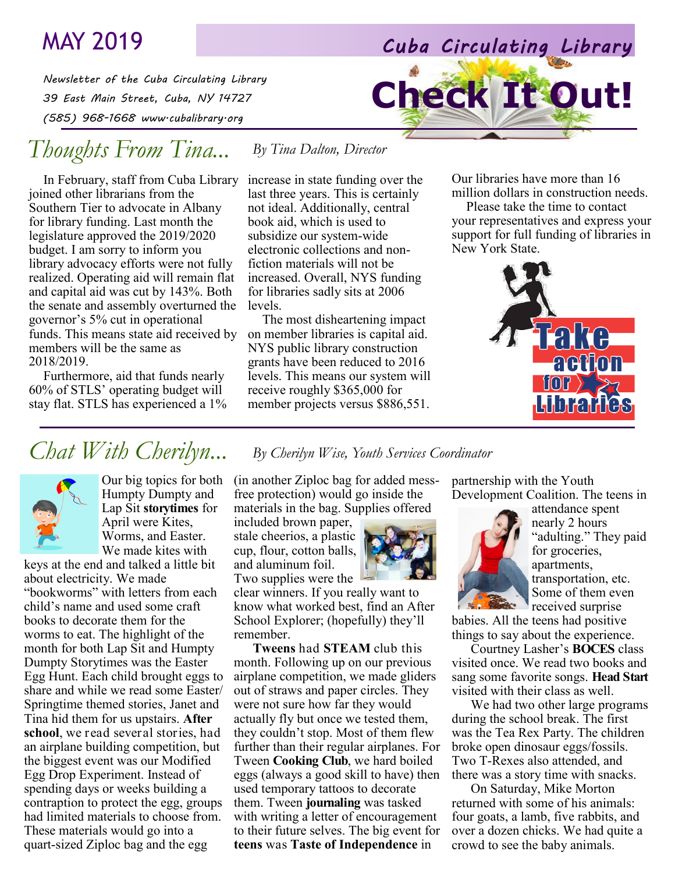# MAY 2019 *Cuba Circulating Library*

*Newsletter of the Cuba Circulating Library 39 East Main Street, Cuba, NY 14727 (585) 968-1668 www.cubalibrary.org* 

#### *By Tina Dalton, Director Thoughts From Tina...*

In February, staff from Cuba Library joined other librarians from the Southern Tier to advocate in Albany for library funding. Last month the legislature approved the 2019/2020 budget. I am sorry to inform you library advocacy efforts were not fully realized. Operating aid will remain flat and capital aid was cut by 143%. Both the senate and assembly overturned the governor's 5% cut in operational funds. This means state aid received by members will be the same as 2018/2019.

Furthermore, aid that funds nearly 60% of STLS' operating budget will stay flat. STLS has experienced a 1%

increase in state funding over the last three years. This is certainly not ideal. Additionally, central book aid, which is used to subsidize our system-wide electronic collections and nonfiction materials will not be increased. Overall, NYS funding for libraries sadly sits at 2006 levels.

The most disheartening impact on member libraries is capital aid. NYS public library construction grants have been reduced to 2016 levels. This means our system will receive roughly \$365,000 for member projects versus \$886,551.

Our libraries have more than 16 million dollars in construction needs.

**Check It Out!**

Please take the time to contact your representatives and express your support for full funding of libraries in New York State.



## *Chat With Cherilyn... By Cherilyn Wise, Youth Services Coordinator*



Our big topics for both Humpty Dumpty and Lap Sit **storytimes** for April were Kites, Worms, and Easter. We made kites with

keys at the end and talked a little bit about electricity. We made "bookworms" with letters from each child's name and used some craft books to decorate them for the worms to eat. The highlight of the month for both Lap Sit and Humpty Dumpty Storytimes was the Easter Egg Hunt. Each child brought eggs to share and while we read some Easter/ Springtime themed stories, Janet and Tina hid them for us upstairs. **After school**, we read several stories, had an airplane building competition, but the biggest event was our Modified Egg Drop Experiment. Instead of spending days or weeks building a contraption to protect the egg, groups had limited materials to choose from. These materials would go into a quart-sized Ziploc bag and the egg

(in another Ziploc bag for added messfree protection) would go inside the materials in the bag. Supplies offered

included brown paper, stale cheerios, a plastic cup, flour, cotton balls, and aluminum foil.

Two supplies were the clear winners. If you really want to know what worked best, find an After School Explorer; (hopefully) they'll remember.

**Tweens** had **STEAM** club this month. Following up on our previous airplane competition, we made gliders out of straws and paper circles. They were not sure how far they would actually fly but once we tested them, they couldn't stop. Most of them flew further than their regular airplanes. For Tween **Cooking Club**, we hard boiled eggs (always a good skill to have) then used temporary tattoos to decorate them. Tween **journaling** was tasked with writing a letter of encouragement to their future selves. The big event for **teens** was **Taste of Independence** in



partnership with the Youth Development Coalition. The teens in



attendance spent nearly 2 hours "adulting." They paid for groceries, apartments, transportation, etc. Some of them even received surprise

babies. All the teens had positive things to say about the experience.

Courtney Lasher's **BOCES** class visited once. We read two books and sang some favorite songs. **Head Start**  visited with their class as well.

We had two other large programs during the school break. The first was the Tea Rex Party. The children broke open dinosaur eggs/fossils. Two T-Rexes also attended, and there was a story time with snacks.

On Saturday, Mike Morton returned with some of his animals: four goats, a lamb, five rabbits, and over a dozen chicks. We had quite a crowd to see the baby animals.